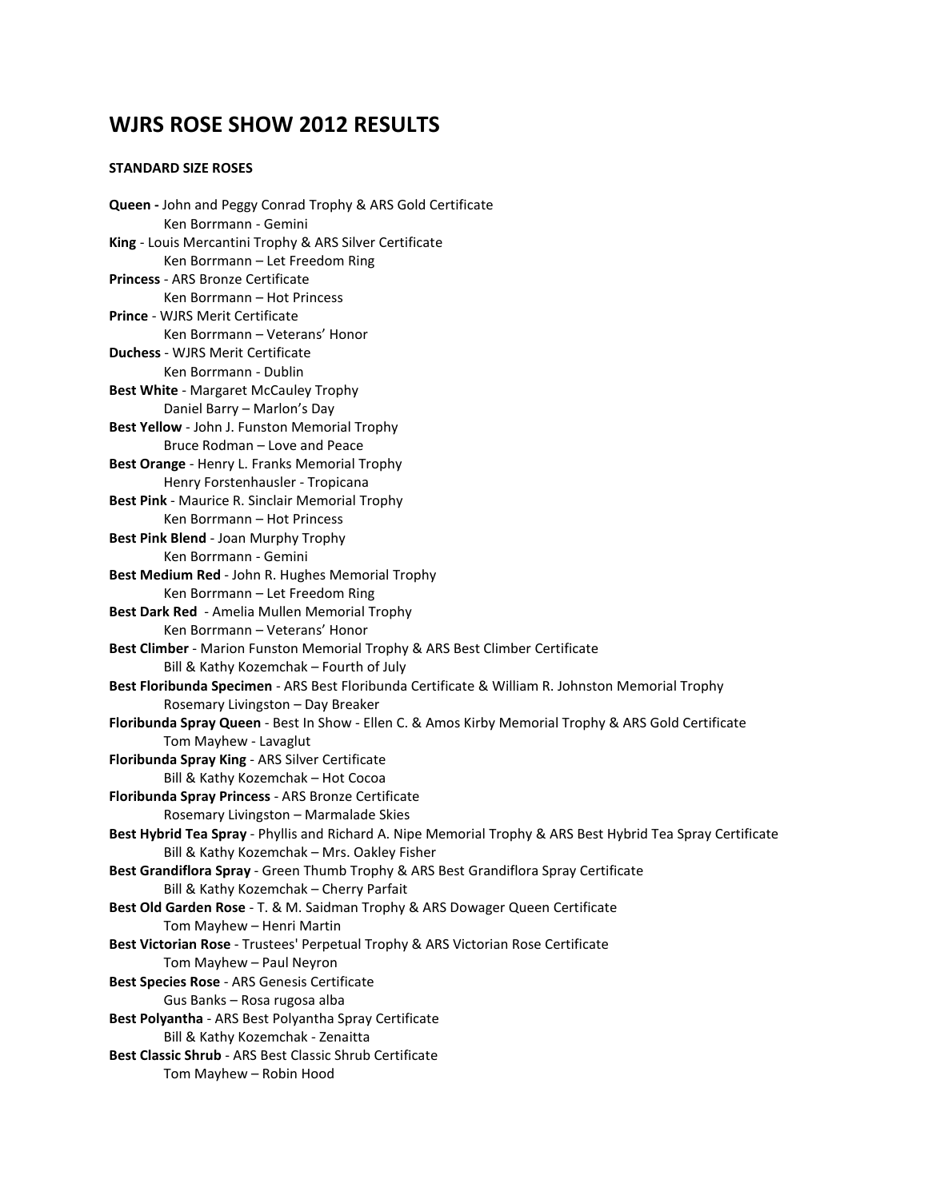# **WJRS ROSE SHOW 2012 RESULTS**

## **STANDARD SIZE ROSES**

**Queen -** John and Peggy Conrad Trophy & ARS Gold Certificate Ken Borrmann - Gemini **King** - Louis Mercantini Trophy & ARS Silver Certificate Ken Borrmann – Let Freedom Ring **Princess** - ARS Bronze Certificate Ken Borrmann – Hot Princess **Prince** - WJRS Merit Certificate Ken Borrmann – Veterans' Honor **Duchess** - WJRS Merit Certificate Ken Borrmann - Dublin **Best White** - Margaret McCauley Trophy Daniel Barry – Marlon's Day **Best Yellow** - John J. Funston Memorial Trophy Bruce Rodman – Love and Peace **Best Orange** - Henry L. Franks Memorial Trophy Henry Forstenhausler - Tropicana **Best Pink** - Maurice R. Sinclair Memorial Trophy Ken Borrmann – Hot Princess **Best Pink Blend** - Joan Murphy Trophy Ken Borrmann - Gemini **Best Medium Red** - John R. Hughes Memorial Trophy Ken Borrmann – Let Freedom Ring **Best Dark Red** - Amelia Mullen Memorial Trophy Ken Borrmann – Veterans' Honor **Best Climber** - Marion Funston Memorial Trophy & ARS Best Climber Certificate Bill & Kathy Kozemchak – Fourth of July **Best Floribunda Specimen** - ARS Best Floribunda Certificate & William R. Johnston Memorial Trophy Rosemary Livingston – Day Breaker **Floribunda Spray Queen** - Best In Show - Ellen C. & Amos Kirby Memorial Trophy & ARS Gold Certificate Tom Mayhew - Lavaglut **Floribunda Spray King** - ARS Silver Certificate Bill & Kathy Kozemchak – Hot Cocoa **Floribunda Spray Princess** - ARS Bronze Certificate Rosemary Livingston – Marmalade Skies **Best Hybrid Tea Spray** - Phyllis and Richard A. Nipe Memorial Trophy & ARS Best Hybrid Tea Spray Certificate Bill & Kathy Kozemchak – Mrs. Oakley Fisher **Best Grandiflora Spray** - Green Thumb Trophy & ARS Best Grandiflora Spray Certificate Bill & Kathy Kozemchak – Cherry Parfait **Best Old Garden Rose** - T. & M. Saidman Trophy & ARS Dowager Queen Certificate Tom Mayhew – Henri Martin **Best Victorian Rose** - Trustees' Perpetual Trophy & ARS Victorian Rose Certificate Tom Mayhew – Paul Neyron **Best Species Rose** - ARS Genesis Certificate Gus Banks – Rosa rugosa alba **Best Polyantha** - ARS Best Polyantha Spray Certificate Bill & Kathy Kozemchak - Zenaitta **Best Classic Shrub** - ARS Best Classic Shrub Certificate Tom Mayhew – Robin Hood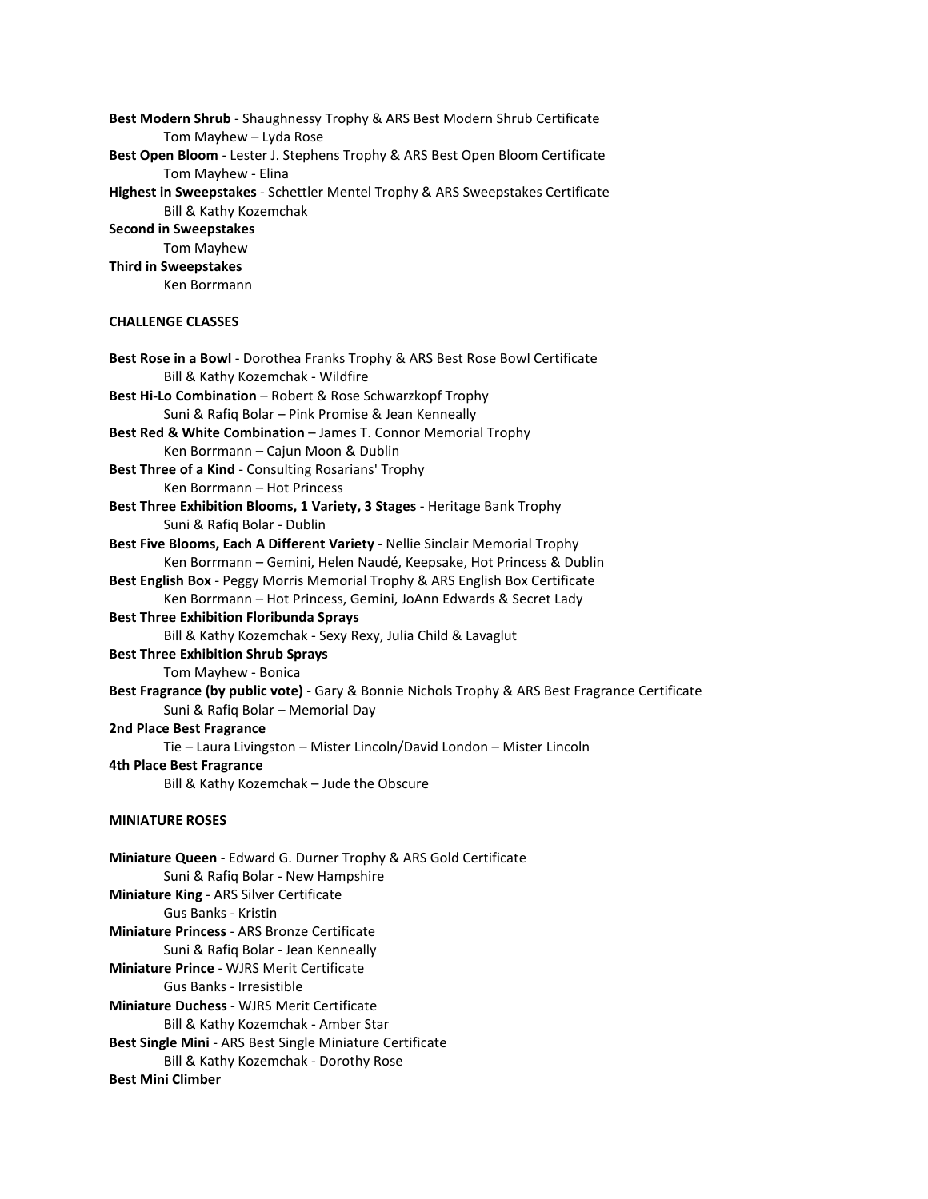**Best Modern Shrub** - Shaughnessy Trophy & ARS Best Modern Shrub Certificate Tom Mayhew – Lyda Rose **Best Open Bloom** - Lester J. Stephens Trophy & ARS Best Open Bloom Certificate Tom Mayhew - Elina **Highest in Sweepstakes** - Schettler Mentel Trophy & ARS Sweepstakes Certificate Bill & Kathy Kozemchak **Second in Sweepstakes** Tom Mayhew **Third in Sweepstakes** Ken Borrmann **CHALLENGE CLASSES Best Rose in a Bowl** - Dorothea Franks Trophy & ARS Best Rose Bowl Certificate Bill & Kathy Kozemchak - Wildfire **Best Hi-Lo Combination** – Robert & Rose Schwarzkopf Trophy Suni & Rafiq Bolar – Pink Promise & Jean Kenneally **Best Red & White Combination** – James T. Connor Memorial Trophy Ken Borrmann – Cajun Moon & Dublin **Best Three of a Kind** - Consulting Rosarians' Trophy Ken Borrmann – Hot Princess **Best Three Exhibition Blooms, 1 Variety, 3 Stages** - Heritage Bank Trophy Suni & Rafiq Bolar - Dublin **Best Five Blooms, Each A Different Variety** - Nellie Sinclair Memorial Trophy Ken Borrmann – Gemini, Helen Naudé, Keepsake, Hot Princess & Dublin **Best English Box** - Peggy Morris Memorial Trophy & ARS English Box Certificate Ken Borrmann – Hot Princess, Gemini, JoAnn Edwards & Secret Lady **Best Three Exhibition Floribunda Sprays** Bill & Kathy Kozemchak - Sexy Rexy, Julia Child & Lavaglut **Best Three Exhibition Shrub Sprays** Tom Mayhew - Bonica **Best Fragrance (by public vote)** - Gary & Bonnie Nichols Trophy & ARS Best Fragrance Certificate Suni & Rafiq Bolar – Memorial Day **2nd Place Best Fragrance** Tie – Laura Livingston – Mister Lincoln/David London – Mister Lincoln **4th Place Best Fragrance** Bill & Kathy Kozemchak – Jude the Obscure **MINIATURE ROSES Miniature Queen** - Edward G. Durner Trophy & ARS Gold Certificate Suni & Rafiq Bolar - New Hampshire **Miniature King** - ARS Silver Certificate Gus Banks - Kristin **Miniature Princess** - ARS Bronze Certificate Suni & Rafiq Bolar - Jean Kenneally **Miniature Prince** - WJRS Merit Certificate Gus Banks - Irresistible **Miniature Duchess** - WJRS Merit Certificate Bill & Kathy Kozemchak - Amber Star **Best Single Mini** - ARS Best Single Miniature Certificate Bill & Kathy Kozemchak - Dorothy Rose **Best Mini Climber**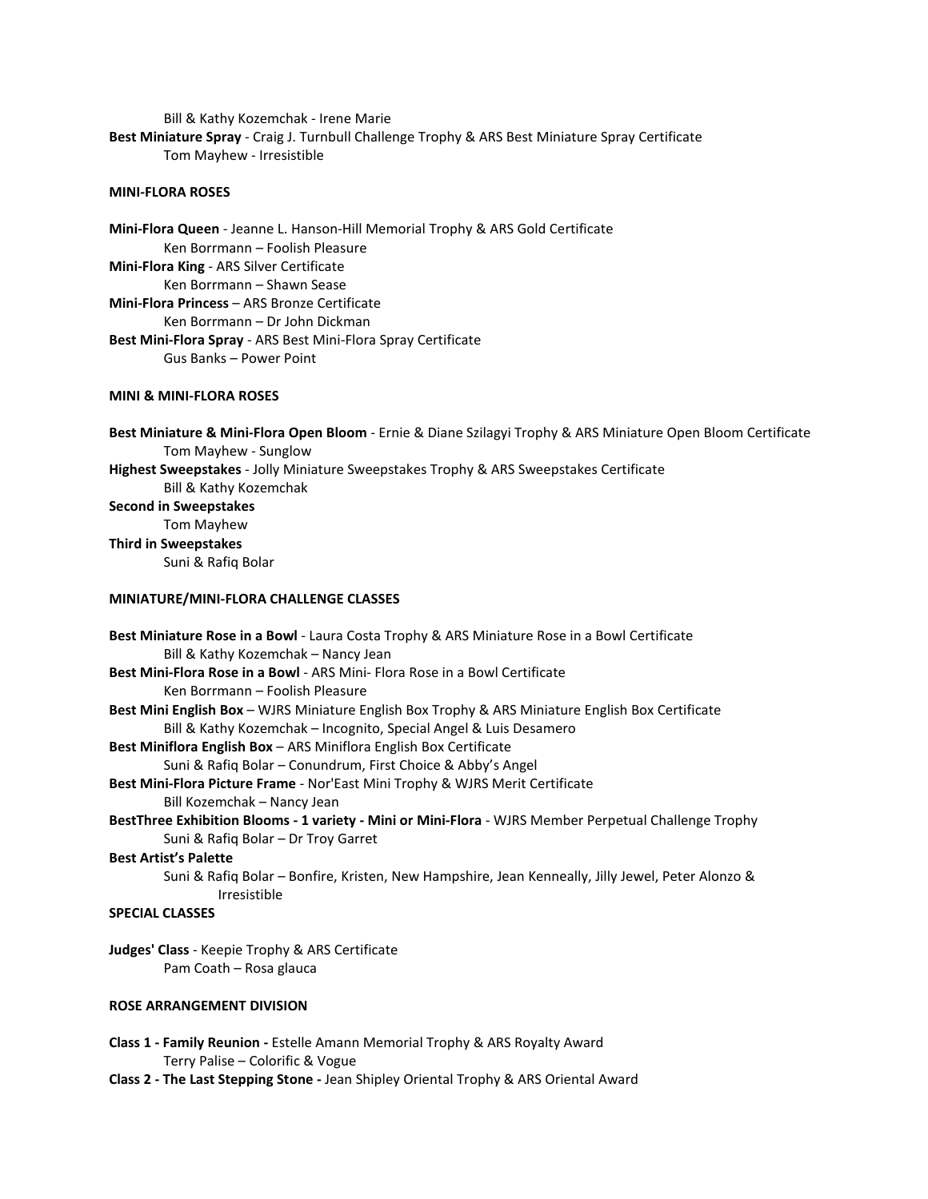Bill & Kathy Kozemchak - Irene Marie **Best Miniature Spray** - Craig J. Turnbull Challenge Trophy & ARS Best Miniature Spray Certificate Tom Mayhew - Irresistible

### **MINI-FLORA ROSES**

**Mini-Flora Queen** - Jeanne L. Hanson-Hill Memorial Trophy & ARS Gold Certificate Ken Borrmann – Foolish Pleasure **Mini-Flora King** - ARS Silver Certificate Ken Borrmann – Shawn Sease **Mini-Flora Princess** – ARS Bronze Certificate Ken Borrmann – Dr John Dickman **Best Mini-Flora Spray** - ARS Best Mini-Flora Spray Certificate Gus Banks – Power Point

#### **MINI & MINI-FLORA ROSES**

**Best Miniature & Mini-Flora Open Bloom** - Ernie & Diane Szilagyi Trophy & ARS Miniature Open Bloom Certificate Tom Mayhew - Sunglow **Highest Sweepstakes** - Jolly Miniature Sweepstakes Trophy & ARS Sweepstakes Certificate Bill & Kathy Kozemchak **Second in Sweepstakes** Tom Mayhew **Third in Sweepstakes** Suni & Rafiq Bolar

## **MINIATURE/MINI-FLORA CHALLENGE CLASSES**

| Best Miniature Rose in a Bowl - Laura Costa Trophy & ARS Miniature Rose in a Bowl Certificate                     |
|-------------------------------------------------------------------------------------------------------------------|
| Bill & Kathy Kozemchak - Nancy Jean                                                                               |
| Best Mini-Flora Rose in a Bowl - ARS Mini-Flora Rose in a Bowl Certificate                                        |
| Ken Borrmann – Foolish Pleasure                                                                                   |
| Best Mini English Box - WJRS Miniature English Box Trophy & ARS Miniature English Box Certificate                 |
| Bill & Kathy Kozemchak – Incognito, Special Angel & Luis Desamero                                                 |
| Best Miniflora English Box - ARS Miniflora English Box Certificate                                                |
| Suni & Rafiq Bolar – Conundrum, First Choice & Abby's Angel                                                       |
| Best Mini-Flora Picture Frame - Nor'East Mini Trophy & WJRS Merit Certificate                                     |
| Bill Kozemchak – Nancy Jean                                                                                       |
| BestThree Exhibition Blooms - 1 variety - Mini or Mini-Flora - WJRS Member Perpetual Challenge Trophy             |
| Suni & Rafig Bolar – Dr Troy Garret                                                                               |
| <b>Best Artist's Palette</b>                                                                                      |
| Suni & Rafiq Bolar – Bonfire, Kristen, New Hampshire, Jean Kenneally, Jilly Jewel, Peter Alonzo &<br>Irresistible |
| <b>SPECIAL CLASSES</b>                                                                                            |
| <b>Judges' Class</b> - Keepie Trophy & ARS Certificate                                                            |
| Pam Coath – Rosa glauca                                                                                           |
| <b>ROSE ARRANGEMENT DIVISION</b>                                                                                  |

- **Class 1 Family Reunion -** Estelle Amann Memorial Trophy & ARS Royalty Award Terry Palise – Colorific & Vogue
- **Class 2 The Last Stepping Stone -** Jean Shipley Oriental Trophy & ARS Oriental Award